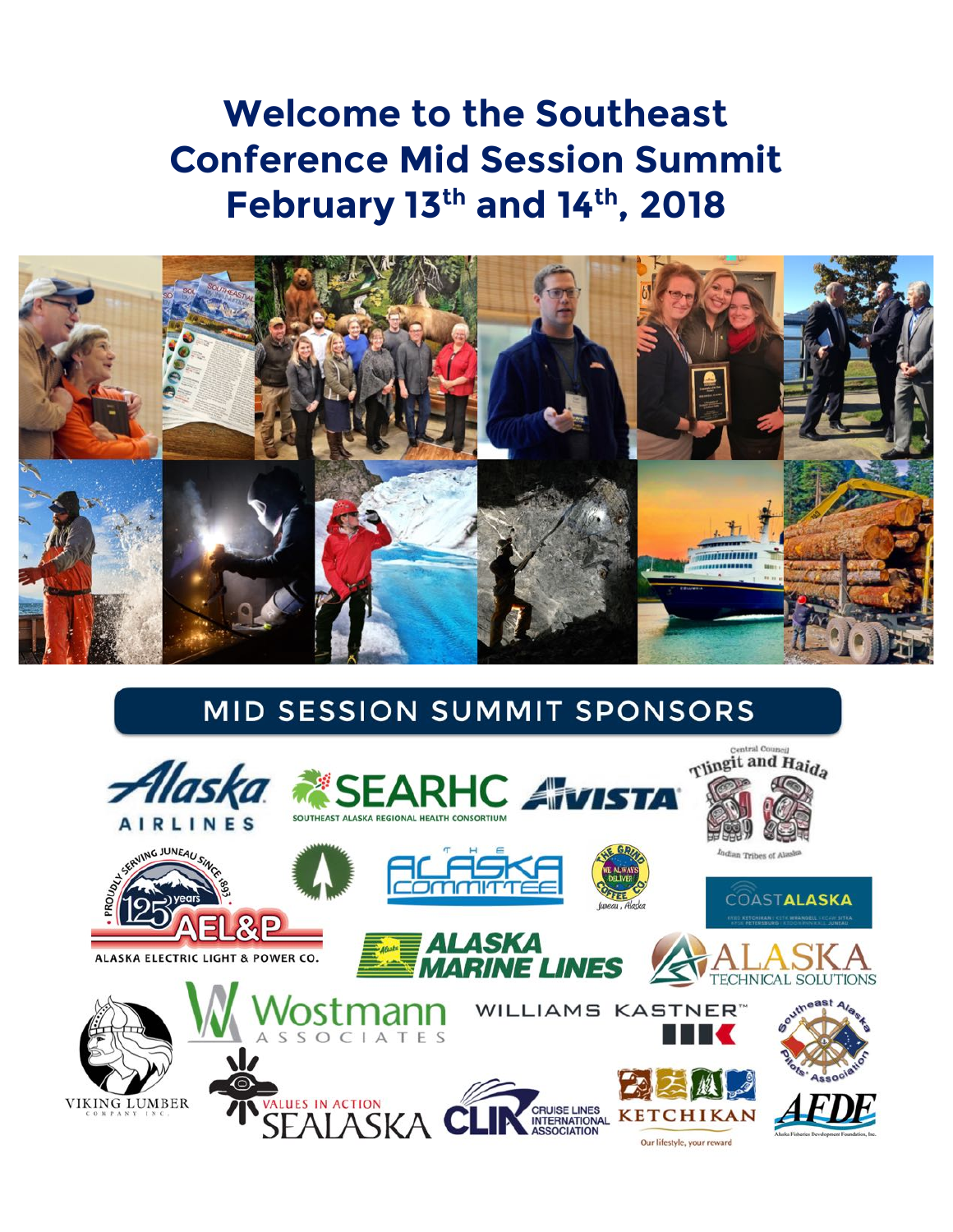# **Welcome to the Southeast Conference Mid Session Summit February 13th and 14th, 2018**



# MID SESSION SUMMIT SPONSORS

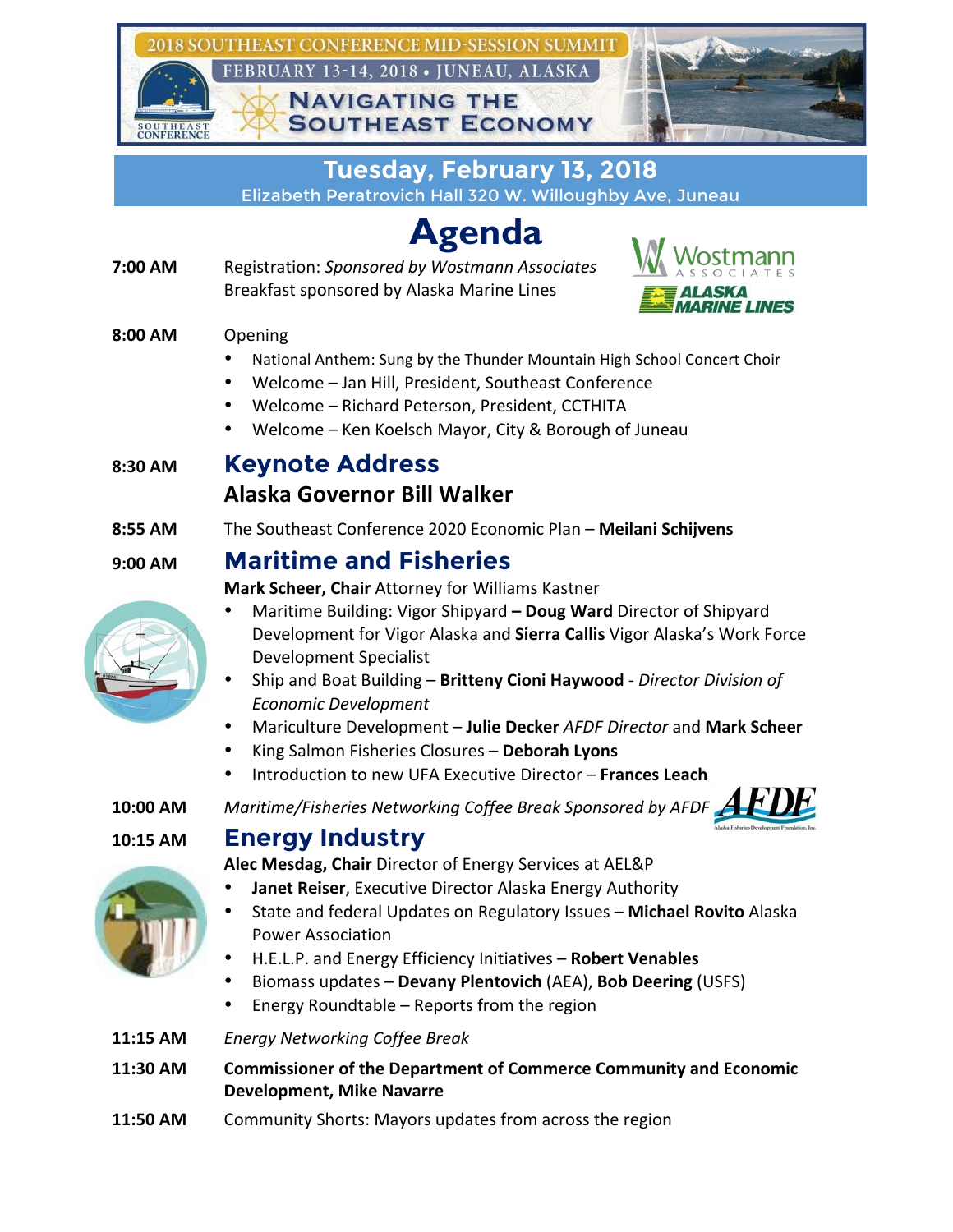

**Tuesday, February 13, 2018** Elizabeth Peratrovich Hall 320 W. Willoughby Ave, Juneau

# **Agenda**

**7:00 AM** Registration: *Sponsored by Wostmann Associates* Breakfast sponsored by Alaska Marine Lines



### **8:00 AM** Opening

- National Anthem: Sung by the Thunder Mountain High School Concert Choir
- Welcome Jan Hill, President, Southeast Conference
- Welcome Richard Peterson, President, CCTHITA
- Welcome Ken Koelsch Mayor, City & Borough of Juneau

## **8:30 AM Keynote Address**

## **Alaska Governor Bill Walker**

**8:55 AM** The Southeast Conference 2020 Economic Plan – Meilani Schijvens

## **9:00 AM Maritime and Fisheries**

**Mark Scheer, Chair** Attorney for Williams Kastner

- Maritime Building: Vigor Shipyard  **Doug Ward** Director of Shipyard Development for Vigor Alaska and **Sierra Callis** Vigor Alaska's Work Force Development Specialist
- Ship and Boat Building **Britteny Cioni Haywood** *Director Division of Economic Development*
- Mariculture Development – **Julie Decker** *AFDF Director* and **Mark Scheer**
- King Salmon Fisheries Closures **Deborah Lyons**
- Introduction to new UFA Executive Director – **Frances Leach**

10:00 AM Maritime/Fisheries Networking Coffee Break Sponsored by AFDF

## **10:15 AM Energy Industry**

**Alec Mesdag, Chair** Director of Energy Services at AEL&P

- **Janet Reiser**, Executive Director Alaska Energy Authority
- State and federal Updates on Regulatory Issues Michael Rovito Alaska Power Association
- H.E.L.P. and Energy Efficiency Initiatives – **Robert Venables**
- Biomass updates **Devany Plentovich** (AEA), **Bob Deering** (USFS)
- Energy Roundtable  $-$  Reports from the region
- **11:15 AM** *Energy Networking Coffee Break*
- **11:30 AM Commissioner of the Department of Commerce Community and Economic Development, Mike Navarre**
- **11:50 AM** Community Shorts: Mayors updates from across the region

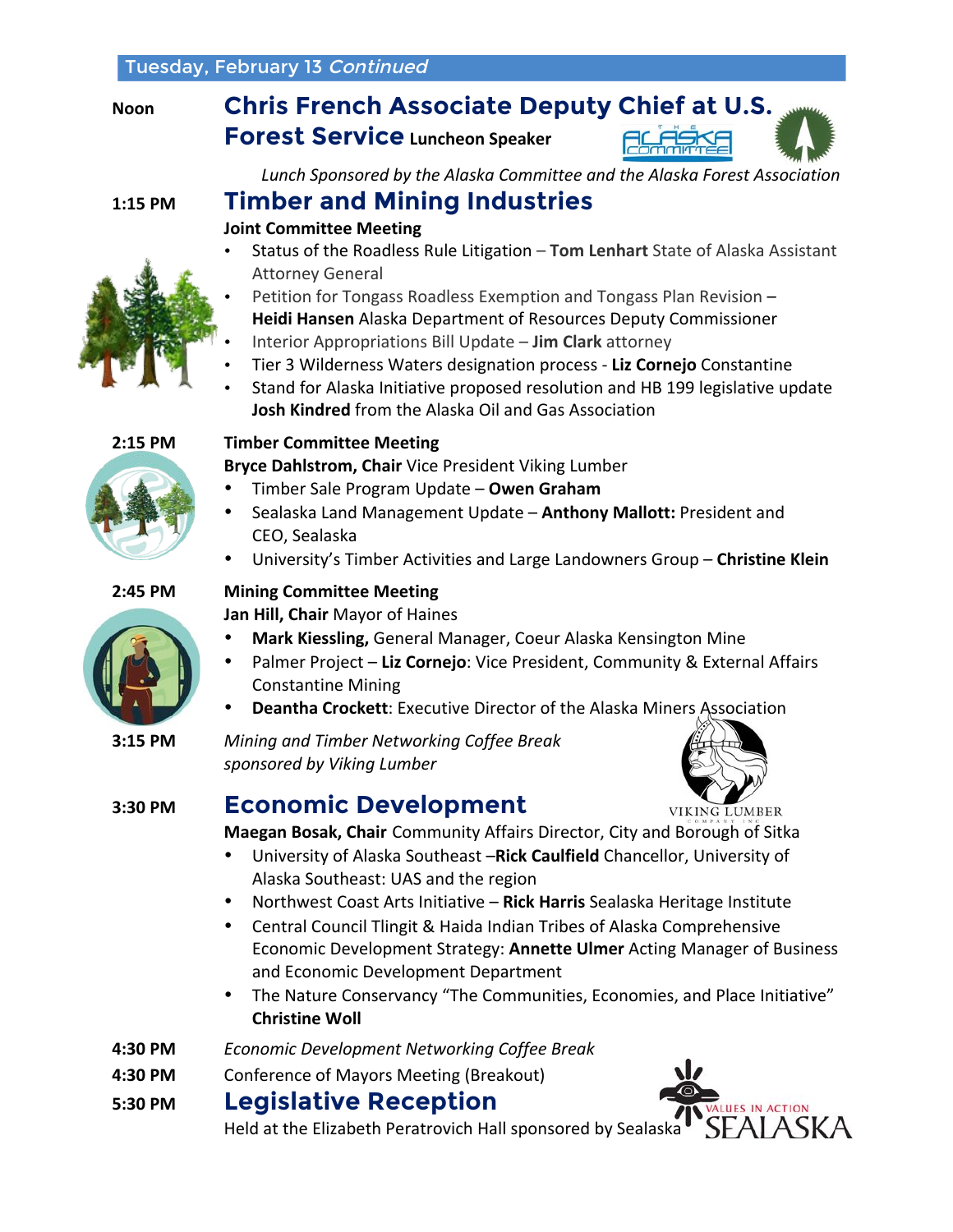# **Forest Service Luncheon Speaker**



Lunch Sponsored by the Alaska Committee and the Alaska Forest Association

## **1:15 PM Timber and Mining Industries**

#### **Joint Committee Meeting**

- Status of the Roadless Rule Litigation Tom Lenhart State of Alaska Assistant Attorney General
- Petition for Tongass Roadless Exemption and Tongass Plan Revision –
- **Heidi Hansen** Alaska Department of Resources Deputy Commissioner
- Interior Appropriations Bill Update **Jim Clark** attorney
- Tier 3 Wilderness Waters designation process Liz Cornejo Constantine
- Stand for Alaska Initiative proposed resolution and HB 199 legislative update **Josh Kindred** from the Alaska Oil and Gas Association



#### **2:15 PM Timber Committee Meeting**

**Bryce Dahlstrom, Chair** Vice President Viking Lumber

- Timber Sale Program Update – **Owen Graham**
- Sealaska Land Management Update Anthony Mallott: President and CEO, Sealaska
- University's Timber Activities and Large Landowners Group – **Christine Klein**

#### **2:45 PM Mining Committee Meeting**

**Jan Hill, Chair** Mayor of Haines

- **Mark Kiessling, General Manager, Coeur Alaska Kensington Mine**
- Palmer Project Liz Cornejo: Vice President, Community & External Affairs Constantine Mining
- **Deantha Crockett:** Executive Director of the Alaska Miners Association

**3:15 PM** *Mining and Timber Networking Coffee Break sponsored by Viking Lumber*



## **3:30 PM Economic Development**

**VIKING LUMBER** 

**Maegan Bosak, Chair** Community Affairs Director, City and Borough of Sitka

- University of Alaska Southeast -Rick Caulfield Chancellor, University of Alaska Southeast: UAS and the region
- Northwest Coast Arts Initiative Rick Harris Sealaska Heritage Institute
- Central Council Tlingit & Haida Indian Tribes of Alaska Comprehensive Economic Development Strategy: Annette Ulmer Acting Manager of Business and Economic Development Department
- The Nature Conservancy "The Communities, Economies, and Place Initiative" **Christine Woll**
- **4:30 PM** *Economic Development Networking Coffee Break*
- **4:30 PM** Conference of Mayors Meeting (Breakout)

### **5:30 PM Legislative Reception**



Held at the Elizabeth Peratrovich Hall sponsored by Sealaska